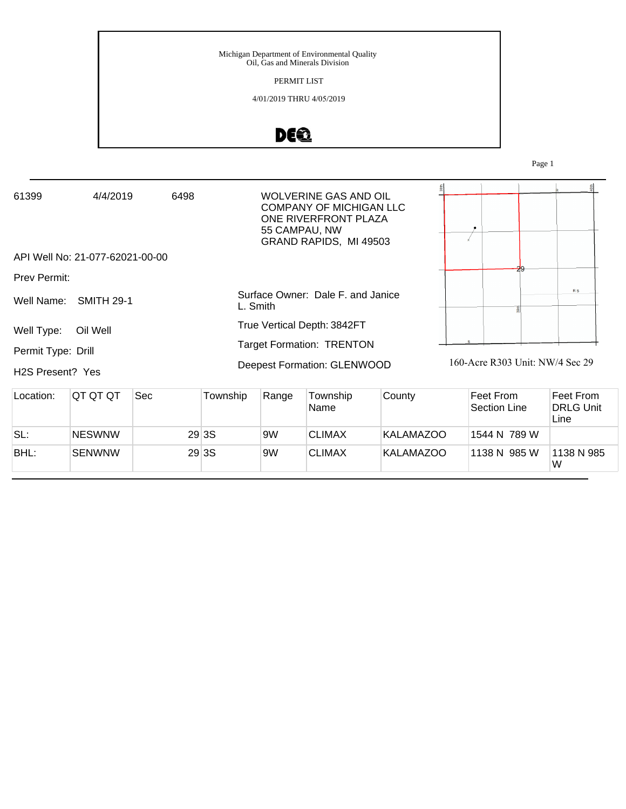### PERMIT LIST

### 4/01/2019 THRU 4/05/2019

# DE®

Page 1

| 61399                         | 4/4/2019<br>6498                |  | <b>WOLVERINE GAS AND OIL</b><br>COMPANY OF MICHIGAN LLC<br>ONE RIVERFRONT PLAZA<br>55 CAMPAU, NW<br>GRAND RAPIDS, MI 49503 |                                 |
|-------------------------------|---------------------------------|--|----------------------------------------------------------------------------------------------------------------------------|---------------------------------|
|                               | API Well No: 21-077-62021-00-00 |  |                                                                                                                            |                                 |
| Prev Permit:                  |                                 |  |                                                                                                                            |                                 |
| Well Name:                    | <b>SMITH 29-1</b>               |  | Surface Owner: Dale F. and Janice<br>L. Smith                                                                              | <b>RS</b>                       |
| Well Type:                    | Oil Well                        |  | True Vertical Depth: 3842FT                                                                                                |                                 |
| Permit Type: Drill            |                                 |  | <b>Target Formation: TRENTON</b>                                                                                           |                                 |
| H <sub>2</sub> S Present? Yes |                                 |  | Deepest Formation: GLENWOOD                                                                                                | 160-Acre R303 Unit: NW/4 Sec 29 |

| Location: | IQT QT QT     | Sec | Township | Range | Township<br>Name | County    | ∣Feet From<br>Section Line | ∣Feet From<br><b>DRLG Unit</b><br>Line |
|-----------|---------------|-----|----------|-------|------------------|-----------|----------------------------|----------------------------------------|
| SL:       | <b>NESWNW</b> |     | 29 3 S   | 9W    | <b>CLIMAX</b>    | KALAMAZOO | 1544 N 789 W               |                                        |
| BHL:      | <b>SENWNW</b> |     | 29 3 S   | 9W    | <b>CLIMAX</b>    | KALAMAZOO | 1138 N 985 W               | 1138 N 985<br>W                        |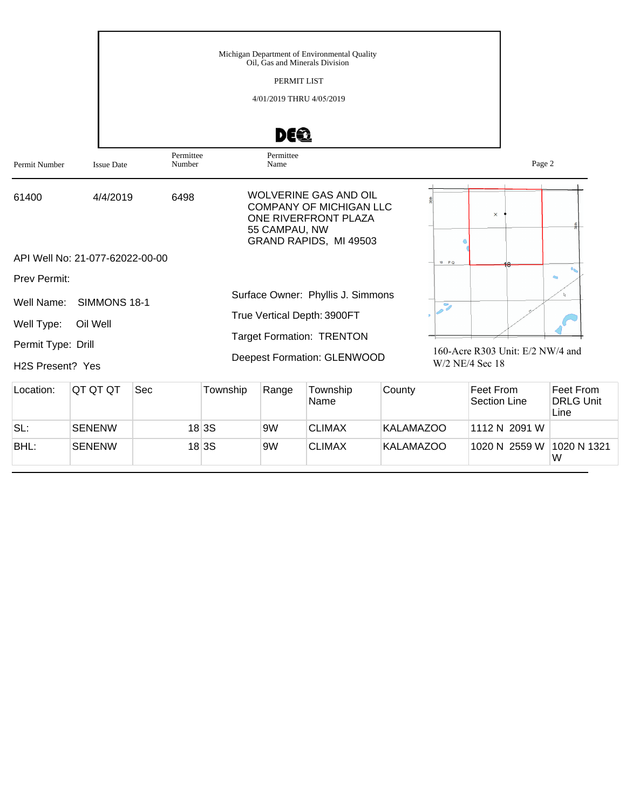|                               |                                 | Michigan Department of Environmental Quality<br>Oil, Gas and Minerals Division<br>PERMIT LIST<br>4/01/2019 THRU 4/05/2019<br>DEQ<br>Permittee<br>Permittee |                                                                                                                                   |                                                     |        |  |  |  |  |  |
|-------------------------------|---------------------------------|------------------------------------------------------------------------------------------------------------------------------------------------------------|-----------------------------------------------------------------------------------------------------------------------------------|-----------------------------------------------------|--------|--|--|--|--|--|
| Permit Number                 | <b>Issue Date</b>               | Number                                                                                                                                                     | Name                                                                                                                              |                                                     | Page 2 |  |  |  |  |  |
| 61400                         | 4/4/2019                        | 6498                                                                                                                                                       | <b>WOLVERINE GAS AND OIL</b><br><b>COMPANY OF MICHIGAN LLC</b><br>ONE RIVERFRONT PLAZA<br>55 CAMPAU, NW<br>GRAND RAPIDS, MI 49503 | $\times$                                            |        |  |  |  |  |  |
|                               | API Well No: 21-077-62022-00-00 |                                                                                                                                                            |                                                                                                                                   | 18 PQ                                               |        |  |  |  |  |  |
| <b>Prev Permit:</b>           |                                 |                                                                                                                                                            |                                                                                                                                   |                                                     |        |  |  |  |  |  |
| Well Name:                    | SIMMONS 18-1                    |                                                                                                                                                            | Surface Owner: Phyllis J. Simmons                                                                                                 | $\overline{z}$                                      |        |  |  |  |  |  |
| Well Type:                    | Oil Well                        |                                                                                                                                                            | True Vertical Depth: 3900FT                                                                                                       |                                                     |        |  |  |  |  |  |
| Permit Type: Drill            |                                 |                                                                                                                                                            | <b>Target Formation: TRENTON</b>                                                                                                  |                                                     |        |  |  |  |  |  |
| H <sub>2</sub> S Present? Yes |                                 |                                                                                                                                                            | Deepest Formation: GLENWOOD                                                                                                       | 160-Acre R303 Unit: E/2 NW/4 and<br>W/2 NE/4 Sec 18 |        |  |  |  |  |  |

| Location: | IQT QT QT     | Sec | Township | Range | Township<br>Name | County           | Feet From<br>lSection Line⊹ | Feet From<br><b>DRLG Unit</b><br>Line |
|-----------|---------------|-----|----------|-------|------------------|------------------|-----------------------------|---------------------------------------|
| SL:       | <b>SENENW</b> |     | 18 3S    | 9W    | <b>CLIMAX</b>    | <b>KALAMAZOO</b> | 1112 N 2091 W               |                                       |
| BHL:      | <b>SENENW</b> |     | 18 3S    | 9W    | <b>CLIMAX</b>    | <b>KALAMAZOO</b> | 1020 N 2559 W               | 1020 N 1321<br>W                      |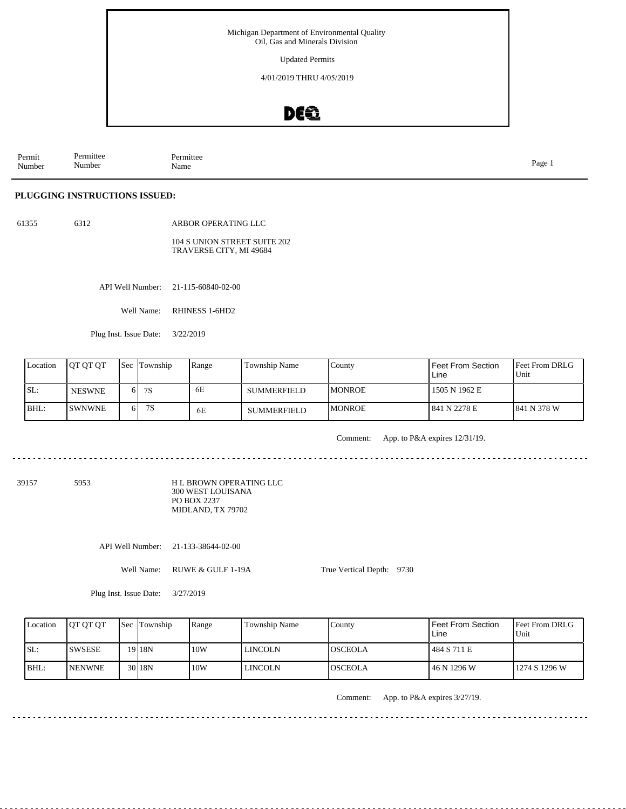Updated Permits

4/01/2019 THRU 4/05/2019

### DEQ

Permit Number Permittee Number Permittee<br>Name Name Page 1

### **PLUGGING INSTRUCTIONS ISSUED:**

61355 6312

ARBOR OPERATING LLC

#### 104 S UNION STREET SUITE 202 TRAVERSE CITY, MI 49684

API Well Number: 21-115-60840-02-00

Well Name: RHINESS 1-6HD2

Plug Inst. Issue Date: 3/22/2019

| Location | <b>IOT OT OT</b> |     | <b>Sec</b> Township | Range | <b>Township Name</b> | Countv         | Feet From Section<br>Line | <b>IFeet From DRLG</b><br>Unit |
|----------|------------------|-----|---------------------|-------|----------------------|----------------|---------------------------|--------------------------------|
| ISL:     | <b>NESWNE</b>    | 61  | 7S                  | 6E    | <b>SUMMERFIELD</b>   | <b>IMONROE</b> | 1505 N 1962 E             |                                |
| BHL:     | <b>ISWNWNE</b>   | 6 I | 7S                  | 6E    | <b>SUMMERFIELD</b>   | <b>IMONROE</b> | 1841 N 2278 E             | 1841 N 378 W                   |

Comment: App. to P&A expires 12/31/19.

39157 5953

H L BROWN OPERATING LLC 300 WEST LOUISANA PO BOX 2237 MIDLAND, TX 79702

API Well Number: 21-133-38644-02-00

Well Name: RUWE & GULF 1-19A

True Vertical Depth: 9730

Plug Inst. Issue Date: 3/27/2019

| Location | <b>OT OT OT</b> | <b>Sec Township</b> | Range | Township Name | County         | Feet From Section<br>Line | <b>Feet From DRLG</b><br>l Unit |
|----------|-----------------|---------------------|-------|---------------|----------------|---------------------------|---------------------------------|
| ISL:     | ISWSESE         | 19 <sup>18</sup> N  | 10W   | LINCOLN       | IOSCEOLA       | 484 S 711 E               |                                 |
| BHL:     | <b>INENWNE</b>  | 30 <sub>18N</sub>   | 10W   | LINCOLN       | <b>OSCEOLA</b> | 46 N 1296 W               | 1274 S 1296 W                   |

Comment: App. to P&A expires 3/27/19.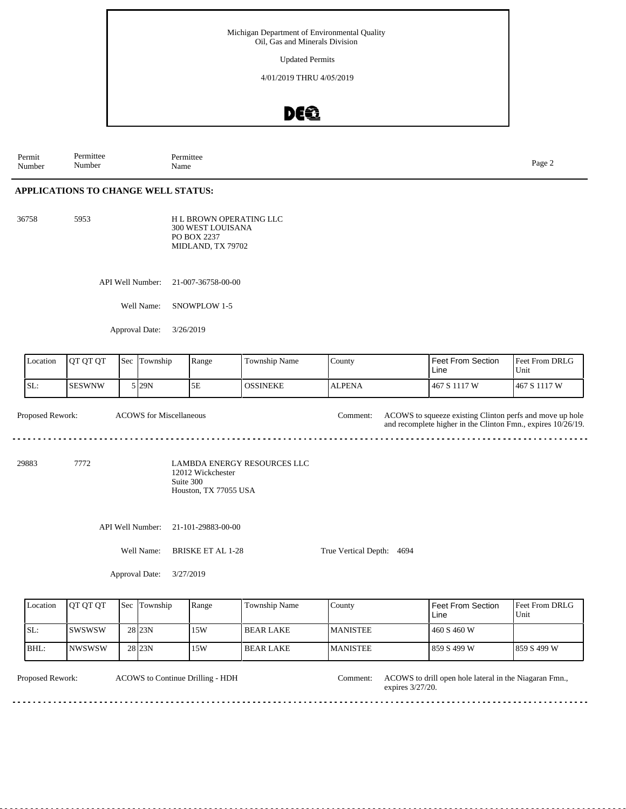Updated Permits

4/01/2019 THRU 4/05/2019

### DEQ

Permit Number Permittee Number Permittee<br>Name Page 2<br>Name

### **APPLICATIONS TO CHANGE WELL STATUS:**

5953 H L BROWN OPERATING LLC 300 WEST LOUISANA PO BOX 2237 MIDLAND, TX 79702

API Well Number: 21-007-36758-00-00

Well Name: SNOWPLOW 1-5

Approval Date: 3/26/2019

| Location         | QT QT QT      | Sec | Township                       | Range                                                   | Township Name                      | County                    | <b>Feet From Section</b><br>Line                                                                                         | Feet From DRLG<br>Unit |
|------------------|---------------|-----|--------------------------------|---------------------------------------------------------|------------------------------------|---------------------------|--------------------------------------------------------------------------------------------------------------------------|------------------------|
| SL:              | <b>SESWNW</b> |     | 5 29N                          | 5E                                                      | <b>OSSINEKE</b>                    | <b>ALPENA</b>             | 467 S 1117 W                                                                                                             | 467 S 1117 W           |
| Proposed Rework: |               |     | <b>ACOWS</b> for Miscellaneous |                                                         |                                    | Comment:                  | ACOWS to squeeze existing Clinton perfs and move up hole<br>and recomplete higher in the Clinton Fmn., expires 10/26/19. |                        |
| 29883            | 7772          |     |                                | 12012 Wickchester<br>Suite 300<br>Houston, TX 77055 USA | <b>LAMBDA ENERGY RESOURCES LLC</b> |                           |                                                                                                                          |                        |
|                  |               |     | API Well Number:               | 21-101-29883-00-00                                      |                                    |                           |                                                                                                                          |                        |
|                  |               |     | Well Name:                     | <b>BRISKE ET AL 1-28</b>                                |                                    | True Vertical Depth: 4694 |                                                                                                                          |                        |
|                  |               |     | Approval Date:                 | 3/27/2019                                               |                                    |                           |                                                                                                                          |                        |
| Location         | QT QT QT      | Sec | Township                       | Range                                                   | Township Name                      | County                    | <b>Feet From Section</b><br>Line                                                                                         | Feet From DRLG<br>Unit |
| SL:              | <b>SWSWSW</b> |     | 28 23N                         | 15W                                                     | <b>BEAR LAKE</b>                   | <b>MANISTEE</b>           | 460 S 460 W                                                                                                              |                        |
| BHL:             | <b>NWSWSW</b> |     | 28 23N                         | 15W                                                     | <b>BEAR LAKE</b>                   | <b>MANISTEE</b>           | 859 S 499 W                                                                                                              | 859 S 499 W            |

ACOWS to Continue Drilling - HDH

Proposed Rework: ACOWS to Continue Drilling - HDH Comment: ACOWS to drill open hole lateral in the Niagaran Fmn., Comment: expires 3/27/20.  $\frac{1}{2} \left( \frac{1}{2} \right) \left( \frac{1}{2} \right) \left( \frac{1}{2} \right) \left( \frac{1}{2} \right) \left( \frac{1}{2} \right)$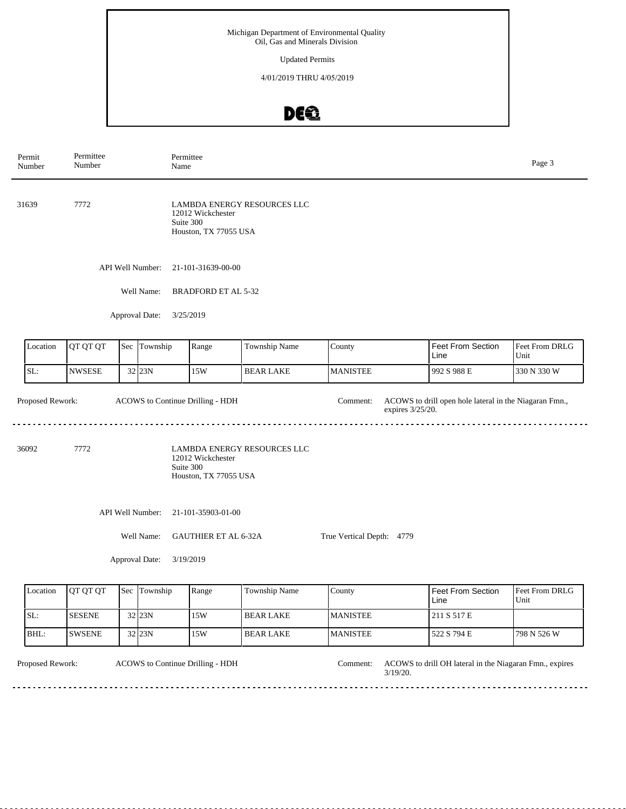Updated Permits

4/01/2019 THRU 4/05/2019

# DEQ

| Permit<br>Number | Permittee<br>Number | Name                             | Permittee                                               |                             |                              |                                                        | Page 3                 |
|------------------|---------------------|----------------------------------|---------------------------------------------------------|-----------------------------|------------------------------|--------------------------------------------------------|------------------------|
| 31639            | 7772                |                                  | 12012 Wickchester<br>Suite 300<br>Houston, TX 77055 USA | LAMBDA ENERGY RESOURCES LLC |                              |                                                        |                        |
|                  |                     | API Well Number:                 | 21-101-31639-00-00                                      |                             |                              |                                                        |                        |
|                  |                     | Well Name:                       | <b>BRADFORD ET AL 5-32</b>                              |                             |                              |                                                        |                        |
|                  |                     | Approval Date:                   | 3/25/2019                                               |                             |                              |                                                        |                        |
| Location         | QT QT QT            | Sec Township                     | Range                                                   | Township Name               | County                       | Feet From Section<br>Line                              | Feet From DRLG<br>Unit |
| SL:              | <b>NWSESE</b>       | 32 23N                           | 15W                                                     | <b>BEAR LAKE</b>            | <b>MANISTEE</b>              | 992 S 988 E                                            | 330 N 330 W            |
| Proposed Rework: |                     | ACOWS to Continue Drilling - HDH |                                                         |                             | Comment:<br>expires 3/25/20. | ACOWS to drill open hole lateral in the Niagaran Fmn., |                        |
| 36092            | 7772                |                                  | 12012 Wickchester<br>Suite 300<br>Houston, TX 77055 USA | LAMBDA ENERGY RESOURCES LLC |                              |                                                        |                        |
|                  |                     | API Well Number:                 | 21-101-35903-01-00                                      |                             |                              |                                                        |                        |
|                  |                     | Well Name:                       | <b>GAUTHIER ET AL 6-32A</b>                             |                             | True Vertical Depth: 4779    |                                                        |                        |
|                  |                     | Approval Date:                   | 3/19/2019                                               |                             |                              |                                                        |                        |
| Location         | QT QT QT            | Sec Township                     | Range                                                   | Township Name               | County                       | <b>Feet From Section</b><br>Line                       | Feet From DRLG<br>Unit |
| SL:              | <b>SESENE</b>       | 32 23N                           | 15W                                                     | <b>BEAR LAKE</b>            | <b>MANISTEE</b>              | 211 S 517 E                                            |                        |
| BHL:             | <b>SWSENE</b>       | 32 23N                           | 15W                                                     | <b>BEAR LAKE</b>            | <b>MANISTEE</b>              | 522 S 794 E                                            | 798 N 526 W            |

ACOWS to Continue Drilling - HDH

Proposed Rework: ACOWS to Continue Drilling - HDH Comment: ACOWS to drill OH lateral in the Niagaran Fmn., expires 3/19/20. Comment:

in die die die die

 $\sim$   $\sim$   $\sim$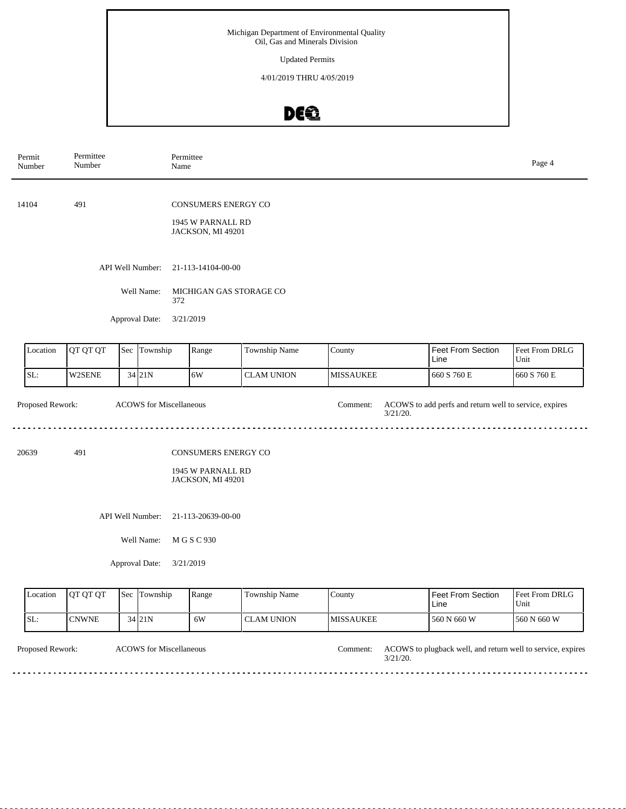Updated Permits

4/01/2019 THRU 4/05/2019

# DE®

|       | Permit<br>Number | Permittee<br>Number | Permittee<br>Name              |                                                                      |                   |                         |                                                        | Page 4                 |
|-------|------------------|---------------------|--------------------------------|----------------------------------------------------------------------|-------------------|-------------------------|--------------------------------------------------------|------------------------|
| 14104 |                  | 491                 |                                | CONSUMERS ENERGY CO<br>1945 W PARNALL RD<br>JACKSON, MI 49201        |                   |                         |                                                        |                        |
|       |                  |                     | API Well Number:               | 21-113-14104-00-00                                                   |                   |                         |                                                        |                        |
|       |                  |                     | Well Name:<br>372              | MICHIGAN GAS STORAGE CO                                              |                   |                         |                                                        |                        |
|       |                  |                     | Approval Date:<br>3/21/2019    |                                                                      |                   |                         |                                                        |                        |
|       | Location         | QT QT QT            | Sec Township                   | Range                                                                | Township Name     | County                  | <b>Feet From Section</b><br>Line                       | Feet From DRLG<br>Unit |
|       | SL:              | W2SENE              | 34 21N                         | 6W                                                                   | <b>CLAM UNION</b> | <b>MISSAUKEE</b>        | 660 S 760 E                                            | 660 S 760 E            |
|       | Proposed Rework: |                     | <b>ACOWS</b> for Miscellaneous |                                                                      |                   | Comment:<br>$3/21/20$ . | ACOWS to add perfs and return well to service, expires |                        |
|       | 20639            | 491                 |                                | <b>CONSUMERS ENERGY CO</b><br>1945 W PARNALL RD<br>JACKSON, MI 49201 |                   |                         |                                                        |                        |
|       |                  |                     | API Well Number:               | 21-113-20639-00-00                                                   |                   |                         |                                                        |                        |
|       |                  |                     | Well Name:                     | M G S C 930                                                          |                   |                         |                                                        |                        |
|       |                  |                     | Approval Date:<br>3/21/2019    |                                                                      |                   |                         |                                                        |                        |
|       | Location         | QT QT QT            | Sec Township                   | Range                                                                | Township Name     | County                  | Feet From Section<br>Line                              | Feet From DRLG<br>Unit |
|       | SL:              | <b>CNWNE</b>        | $34$ 21N                       | 6W                                                                   | <b>CLAM UNION</b> | <b>MISSAUKEE</b>        | 560 N 660 W                                            | 560 N 660 W            |

Proposed Rework: ACOWS to plugback well, and return well to service, expires

ACOWS for Miscellaneous Comment:

3/21/20.

 $\sim$   $\sim$   $\sim$   $\sim$  $\sim$   $\sim$   $-$